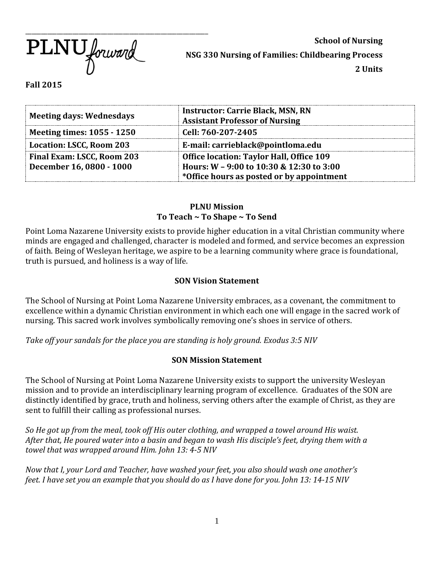$\overline{\text{PLNU}}$  forward

**School of Nursing NSG 330 Nursing of Families: Childbearing Process 2 Units**

**Fall 2015**

| <b>Meeting days: Wednesdays</b>                        | <b>Instructor: Carrie Black, MSN, RN</b><br><b>Assistant Professor of Nursing</b>           |
|--------------------------------------------------------|---------------------------------------------------------------------------------------------|
| <b>Meeting times: 1055 - 1250</b>                      | Cell: 760-207-2405                                                                          |
| Location: LSCC, Room 203                               | E-mail: carrieblack@pointloma.edu                                                           |
| Final Exam: LSCC, Room 203<br>December 16, 0800 - 1000 | <b>Office location: Taylor Hall, Office 109</b><br>Hours: W - 9:00 to 10:30 & 12:30 to 3:00 |
|                                                        | *Office hours as posted or by appointment                                                   |

### **PLNU Mission To Teach ~ To Shape ~ To Send**

Point Loma Nazarene University exists to provide higher education in a vital Christian community where minds are engaged and challenged, character is modeled and formed, and service becomes an expression of faith. Being of Wesleyan heritage, we aspire to be a learning community where grace is foundational, truth is pursued, and holiness is a way of life.

# **SON Vision Statement**

The School of Nursing at Point Loma Nazarene University embraces, as a covenant, the commitment to excellence within a dynamic Christian environment in which each one will engage in the sacred work of nursing. This sacred work involves symbolically removing one's shoes in service of others.

*Take off your sandals for the place you are standing is holy ground. Exodus 3:5 NIV* 

# **SON Mission Statement**

The School of Nursing at Point Loma Nazarene University exists to support the university Wesleyan mission and to provide an interdisciplinary learning program of excellence. Graduates of the SON are distinctly identified by grace, truth and holiness, serving others after the example of Christ, as they are sent to fulfill their calling as professional nurses.

*So He got up from the meal, took off His outer clothing, and wrapped a towel around His waist. After that, He poured water into a basin and began to wash His disciple's feet, drying them with a towel that was wrapped around Him. John 13: 4-5 NIV* 

*Now that I, your Lord and Teacher, have washed your feet, you also should wash one another's feet. I have set you an example that you should do as I have done for you. John 13: 14-15 NIV*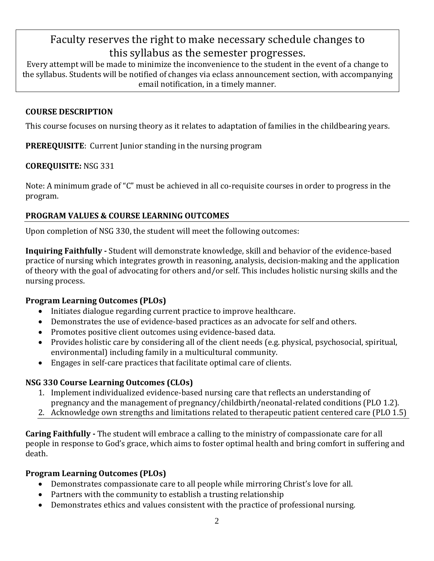# Faculty reserves the right to make necessary schedule changes to this syllabus as the semester progresses.

Every attempt will be made to minimize the inconvenience to the student in the event of a change to the syllabus. Students will be notified of changes via eclass announcement section, with accompanying email notification, in a timely manner.

# **COURSE DESCRIPTION**

This course focuses on nursing theory as it relates to adaptation of families in the childbearing years.

**PREREQUISITE**: Current Junior standing in the nursing program

# **COREQUISITE:** NSG 331

Note: A minimum grade of "C" must be achieved in all co-requisite courses in order to progress in the program.

# **PROGRAM VALUES & COURSE LEARNING OUTCOMES**

Upon completion of NSG 330, the student will meet the following outcomes:

**Inquiring Faithfully -** Student will demonstrate knowledge, skill and behavior of the evidence-based practice of nursing which integrates growth in reasoning, analysis, decision-making and the application of theory with the goal of advocating for others and/or self. This includes holistic nursing skills and the nursing process.

# **Program Learning Outcomes (PLOs)**

- Initiates dialogue regarding current practice to improve healthcare.
- Demonstrates the use of evidence-based practices as an advocate for self and others.
- Promotes positive client outcomes using evidence-based data.
- Provides holistic care by considering all of the client needs (e.g. physical, psychosocial, spiritual, environmental) including family in a multicultural community.
- Engages in self-care practices that facilitate optimal care of clients.

# **NSG 330 Course Learning Outcomes (CLOs)**

- 1. Implement individualized evidence-based nursing care that reflects an understanding of pregnancy and the management of pregnancy/childbirth/neonatal-related conditions (PLO 1.2).
- 2. Acknowledge own strengths and limitations related to therapeutic patient centered care (PLO 1.5)

**Caring Faithfully -** The student will embrace a calling to the ministry of compassionate care for all people in response to God's grace, which aims to foster optimal health and bring comfort in suffering and death.

# **Program Learning Outcomes (PLOs)**

- Demonstrates compassionate care to all people while mirroring Christ's love for all.
- Partners with the community to establish a trusting relationship
- Demonstrates ethics and values consistent with the practice of professional nursing.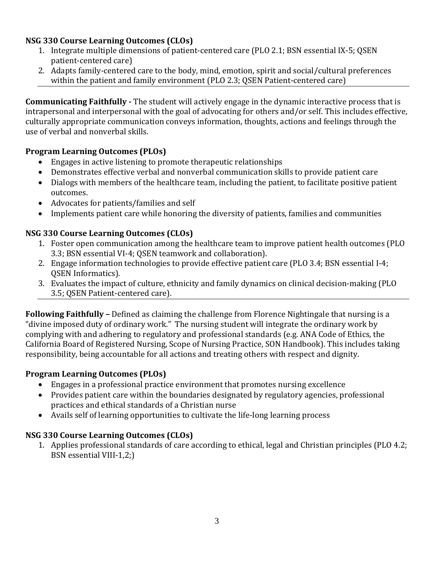# **NSG 330 Course Learning Outcomes (CLOs)**

- 1. Integrate multiple dimensions of patient-centered care (PLO 2.1; BSN essential IX-5; QSEN patient-centered care)
- 2. Adapts family-centered care to the body, mind, emotion, spirit and social/cultural preferences within the patient and family environment (PLO 2.3; QSEN Patient-centered care)

**Communicating Faithfully -** The student will actively engage in the dynamic interactive process that is intrapersonal and interpersonal with the goal of advocating for others and/or self. This includes effective, culturally appropriate communication conveys information, thoughts, actions and feelings through the use of verbal and nonverbal skills.

# **Program Learning Outcomes (PLOs)**

- Engages in active listening to promote therapeutic relationships
- Demonstrates effective verbal and nonverbal communication skills to provide patient care
- Dialogs with members of the healthcare team, including the patient, to facilitate positive patient outcomes.
- Advocates for patients/families and self
- Implements patient care while honoring the diversity of patients, families and communities

# **NSG 330 Course Learning Outcomes (CLOs)**

- 1. Foster open communication among the healthcare team to improve patient health outcomes (PLO 3.3; BSN essential VI-4; QSEN teamwork and collaboration).
- 2. Engage information technologies to provide effective patient care (PLO 3.4; BSN essential I-4; QSEN Informatics).
- 3. Evaluates the impact of culture, ethnicity and family dynamics on clinical decision-making (PLO 3.5; QSEN Patient-centered care).

**Following Faithfully –** Defined as claiming the challenge from Florence Nightingale that nursing is a "divine imposed duty of ordinary work." The nursing student will integrate the ordinary work by complying with and adhering to regulatory and professional standards (e.g. ANA Code of Ethics, the California Board of Registered Nursing, Scope of Nursing Practice, SON Handbook). This includes taking responsibility, being accountable for all actions and treating others with respect and dignity.

# **Program Learning Outcomes (PLOs)**

- Engages in a professional practice environment that promotes nursing excellence
- Provides patient care within the boundaries designated by regulatory agencies, professional practices and ethical standards of a Christian nurse
- Avails self of learning opportunities to cultivate the life-long learning process

# **NSG 330 Course Learning Outcomes (CLOs)**

1. Applies professional standards of care according to ethical, legal and Christian principles (PLO 4.2; BSN essential VIII-1,2;)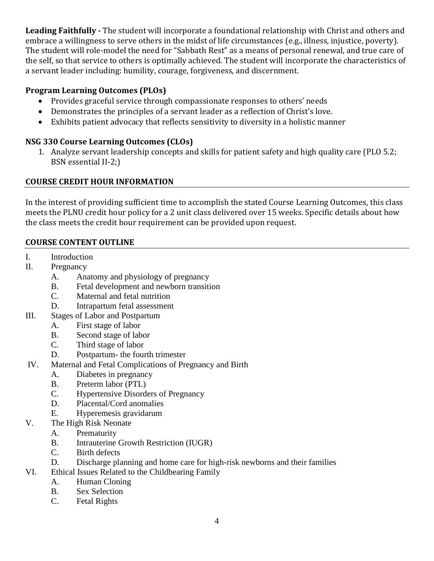**Leading Faithfully -** The student will incorporate a foundational relationship with Christ and others and embrace a willingness to serve others in the midst of life circumstances (e.g., illness, injustice, poverty). The student will role-model the need for "Sabbath Rest" as a means of personal renewal, and true care of the self, so that service to others is optimally achieved. The student will incorporate the characteristics of a servant leader including: humility, courage, forgiveness, and discernment.

# **Program Learning Outcomes (PLOs)**

- Provides graceful service through compassionate responses to others' needs
- Demonstrates the principles of a servant leader as a reflection of Christ's love.
- Exhibits patient advocacy that reflects sensitivity to diversity in a holistic manner

# **NSG 330 Course Learning Outcomes (CLOs)**

1. Analyze servant leadership concepts and skills for patient safety and high quality care (PLO 5.2; BSN essential II-2;)

# **COURSE CREDIT HOUR INFORMATION**

In the interest of providing sufficient time to accomplish the stated Course Learning Outcomes, this class meets the PLNU credit hour policy for a 2 unit class delivered over 15 weeks. Specific details about how the class meets the credit hour requirement can be provided upon request.

# **COURSE CONTENT OUTLINE**

- I. Introduction
- II. Pregnancy
	- A. Anatomy and physiology of pregnancy
	- B. Fetal development and newborn transition
	- C. Maternal and fetal nutrition
	- D. Intrapartum fetal assessment
- III. Stages of Labor and Postpartum
	- A. First stage of labor
	- B. Second stage of labor
	- C. Third stage of labor
	- D. Postpartum- the fourth trimester
- IV. Maternal and Fetal Complications of Pregnancy and Birth
	- A. Diabetes in pregnancy
	- B. Preterm labor (PTL)
	- C. Hypertensive Disorders of Pregnancy
	- D. Placental/Cord anomalies
	- E. Hyperemesis gravidarum
- V. The High Risk Neonate
	- A. Prematurity
	- B. Intrauterine Growth Restriction (IUGR)
	- C. Birth defects
	- D. Discharge planning and home care for high-risk newborns and their families
- VI. Ethical Issues Related to the Childbearing Family
	- A. Human Cloning
	- B. Sex Selection
	- C. Fetal Rights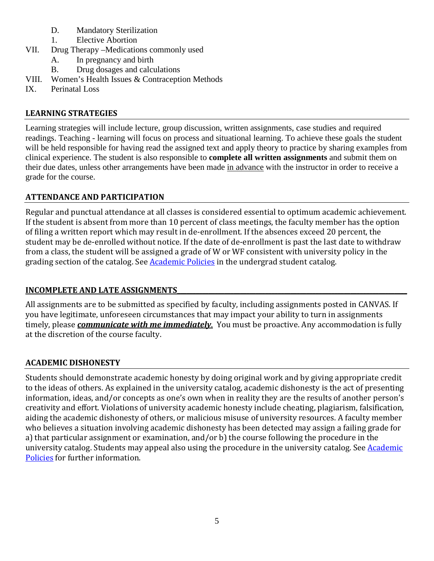- D. Mandatory Sterilization
- 1. Elective Abortion
- VII. Drug Therapy –Medications commonly used
	- A. In pregnancy and birth
	- B. Drug dosages and calculations
- VIII. Women's Health Issues & Contraception Methods
- IX. Perinatal Loss

# **LEARNING STRATEGIES**

Learning strategies will include lecture, group discussion, written assignments, case studies and required readings. Teaching - learning will focus on process and situational learning. To achieve these goals the student will be held responsible for having read the assigned text and apply theory to practice by sharing examples from clinical experience. The student is also responsible to **complete all written assignments** and submit them on their due dates, unless other arrangements have been made in advance with the instructor in order to receive a grade for the course.

# **ATTENDANCE AND PARTICIPATION**

Regular and punctual attendance at all classes is considered essential to optimum academic achievement. If the student is absent from more than 10 percent of class meetings, the faculty member has the option of filing a written report which may result in de-enrollment. If the absences exceed 20 percent, the student may be de-enrolled without notice. If the date of de-enrollment is past the last date to withdraw from a class, the student will be assigned a grade of W or WF consistent with university policy in the grading section of the catalog. See [Academic Policies](http://www.pointloma.edu/experience/academics/catalogs/undergraduate-catalog/point-loma-education/academic-policies) in the undergrad student catalog.

# **INCOMPLETE AND LATE ASSIGNMENTS\_\_\_\_\_\_\_\_\_\_\_\_\_\_\_\_\_\_\_\_\_\_\_\_\_\_\_\_\_\_\_\_\_\_\_\_\_\_\_\_\_\_\_\_\_\_\_\_\_\_\_\_\_\_\_\_\_\_\_\_\_\_\_\_\_\_\_\_\_\_\_\_\_**

All assignments are to be submitted as specified by faculty, including assignments posted in CANVAS. If you have legitimate, unforeseen circumstances that may impact your ability to turn in assignments timely, please *communicate with me immediately*. You must be proactive. Any accommodation is fully at the discretion of the course faculty.

# **ACADEMIC DISHONESTY**

Students should demonstrate academic honesty by doing original work and by giving appropriate credit to the ideas of others. As explained in the university catalog, academic dishonesty is the act of presenting information, ideas, and/or concepts as one's own when in reality they are the results of another person's creativity and effort. Violations of university academic honesty include cheating, plagiarism, falsification, aiding the academic dishonesty of others, or malicious misuse of university resources. A faculty member who believes a situation involving academic dishonesty has been detected may assign a failing grade for a) that particular assignment or examination, and/or b) the course following the procedure in the university catalog. Students may appeal also using the procedure in the university catalog. See **Academic** [Policies](http://www.pointloma.edu/experience/academics/catalogs/undergraduate-catalog/point-loma-education/academic-policies) for further information.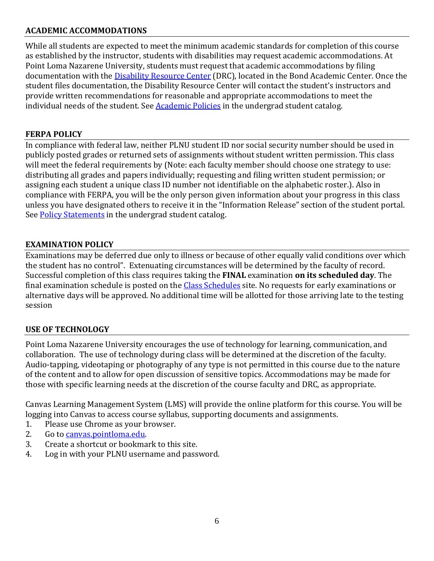# **ACADEMIC ACCOMMODATIONS**

While all students are expected to meet the minimum academic standards for completion of this course as established by the instructor, students with disabilities may request academic accommodations. At Point Loma Nazarene University, students must request that academic accommodations by filing documentation with the [Disability Resource Center](http://www.pointloma.edu/experience/offices/administrative-offices/academic-advising-office/disability-resource-center) (DRC), located in the Bond Academic Center. Once the student files documentation, the Disability Resource Center will contact the student's instructors and provide written recommendations for reasonable and appropriate accommodations to meet the individual needs of the student. Se[e Academic Policies](http://www.pointloma.edu/experience/academics/catalogs/undergraduate-catalog/point-loma-education/academic-policies) in the undergrad student catalog.

# **FERPA POLICY**

In compliance with federal law, neither PLNU student ID nor social security number should be used in publicly posted grades or returned sets of assignments without student written permission. This class will meet the federal requirements by (Note: each faculty member should choose one strategy to use: distributing all grades and papers individually; requesting and filing written student permission; or assigning each student a unique class ID number not identifiable on the alphabetic roster.). Also in compliance with FERPA, you will be the only person given information about your progress in this class unless you have designated others to receive it in the "Information Release" section of the student portal. See [Policy Statements](http://www.pointloma.edu/experience/academics/catalogs/undergraduate-catalog/policy-statements) in the undergrad student catalog.

# **EXAMINATION POLICY**

Examinations may be deferred due only to illness or because of other equally valid conditions over which the student has no control". Extenuating circumstances will be determined by the faculty of record. Successful completion of this class requires taking the **FINAL** examination **on its scheduled day**. The final examination schedule is posted on the [Class Schedules](http://www.pointloma.edu/experience/academics/class-schedules) site. No requests for early examinations or alternative days will be approved. No additional time will be allotted for those arriving late to the testing session

# **USE OF TECHNOLOGY**

Point Loma Nazarene University encourages the use of technology for learning, communication, and collaboration. The use of technology during class will be determined at the discretion of the faculty. Audio-tapping, videotaping or photography of any type is not permitted in this course due to the nature of the content and to allow for open discussion of sensitive topics. Accommodations may be made for those with specific learning needs at the discretion of the course faculty and DRC, as appropriate.

Canvas Learning Management System (LMS) will provide the online platform for this course. You will be logging into Canvas to access course syllabus, supporting documents and assignments.<br>1. Please use Chrome as vour browser.

- Please use Chrome as your browser.
- 2. Go to [canvas.pointloma.edu.](http://canvas.pointloma.edu/)<br>3. Create a shortcut or bookma
- 3. Create a shortcut or bookmark to this site.<br>4. Log in with your PLNU username and pass
- Log in with your PLNU username and password.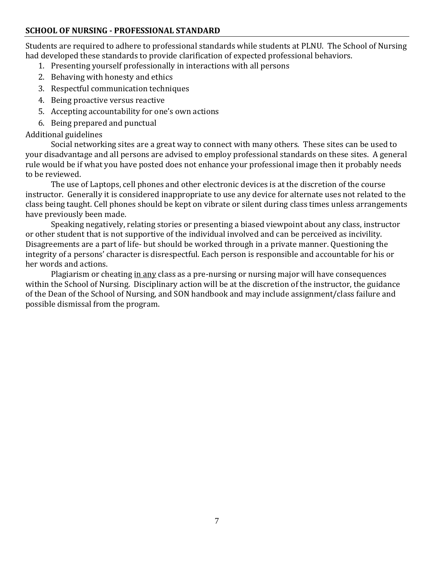# **SCHOOL OF NURSING - PROFESSIONAL STANDARD**

Students are required to adhere to professional standards while students at PLNU. The School of Nursing had developed these standards to provide clarification of expected professional behaviors.

- 1. Presenting yourself professionally in interactions with all persons
- 2. Behaving with honesty and ethics
- 3. Respectful communication techniques
- 4. Being proactive versus reactive
- 5. Accepting accountability for one's own actions
- 6. Being prepared and punctual

## Additional guidelines

Social networking sites are a great way to connect with many others. These sites can be used to your disadvantage and all persons are advised to employ professional standards on these sites. A general rule would be if what you have posted does not enhance your professional image then it probably needs to be reviewed.

The use of Laptops, cell phones and other electronic devices is at the discretion of the course instructor. Generally it is considered inappropriate to use any device for alternate uses not related to the class being taught. Cell phones should be kept on vibrate or silent during class times unless arrangements have previously been made.

Speaking negatively, relating stories or presenting a biased viewpoint about any class, instructor or other student that is not supportive of the individual involved and can be perceived as incivility. Disagreements are a part of life- but should be worked through in a private manner. Questioning the integrity of a persons' character is disrespectful. Each person is responsible and accountable for his or her words and actions.

Plagiarism or cheating in any class as a pre-nursing or nursing major will have consequences within the School of Nursing. Disciplinary action will be at the discretion of the instructor, the guidance of the Dean of the School of Nursing, and SON handbook and may include assignment/class failure and possible dismissal from the program.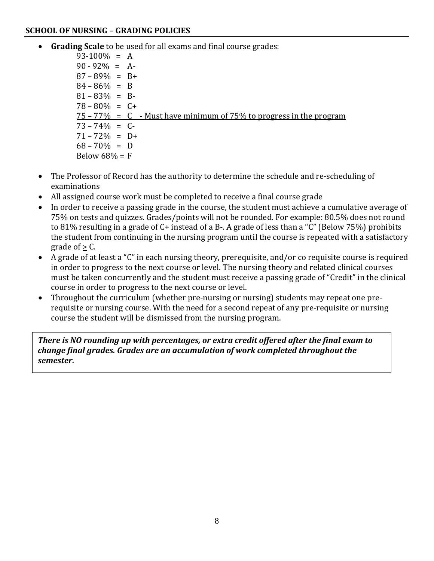### **SCHOOL OF NURSING – GRADING POLICIES**

• **Grading Scale** to be used for all exams and final course grades:

 $93-100\% = A$  $90 - 92\% = A$  $87 - 89\% = B +$  $84 - 86\% = B$  $81 - 83\% = B$  $78 - 80\% = C +$  $75 - 77\% = C$  - Must have minimum of 75% to progress in the program  $73 - 74\% = C$  $71 - 72\% = D +$  $68 - 70\% = D$ Below  $68\% = F$ 

- The Professor of Record has the authority to determine the schedule and re-scheduling of examinations
- All assigned course work must be completed to receive a final course grade
- In order to receive a passing grade in the course, the student must achieve a cumulative average of 75% on tests and quizzes. Grades/points will not be rounded. For example: 80.5% does not round to 81% resulting in a grade of C+ instead of a B-. A grade of less than a "C" (Below 75%) prohibits the student from continuing in the nursing program until the course is repeated with a satisfactory grade of  $> C$ .
- A grade of at least a "C" in each nursing theory, prerequisite, and/or co requisite course is required in order to progress to the next course or level. The nursing theory and related clinical courses must be taken concurrently and the student must receive a passing grade of "Credit" in the clinical course in order to progress to the next course or level.
- Throughout the curriculum (whether pre-nursing or nursing) students may repeat one prerequisite or nursing course. With the need for a second repeat of any pre-requisite or nursing course the student will be dismissed from the nursing program.

*There is NO rounding up with percentages, or extra credit offered after the final exam to change final grades. Grades are an accumulation of work completed throughout the semester.*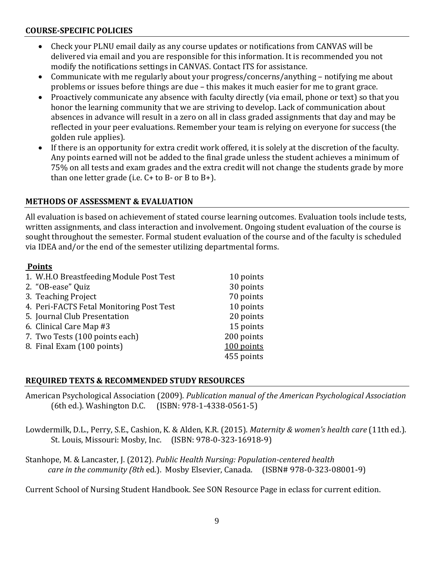### **COURSE-SPECIFIC POLICIES**

- Check your PLNU email daily as any course updates or notifications from CANVAS will be delivered via email and you are responsible for this information. It is recommended you not modify the notifications settings in CANVAS. Contact ITS for assistance.
- Communicate with me regularly about your progress/concerns/anything notifying me about problems or issues before things are due – this makes it much easier for me to grant grace.
- Proactively communicate any absence with faculty directly (via email, phone or text) so that you honor the learning community that we are striving to develop. Lack of communication about absences in advance will result in a zero on all in class graded assignments that day and may be reflected in your peer evaluations. Remember your team is relying on everyone for success (the golden rule applies).
- If there is an opportunity for extra credit work offered, it is solely at the discretion of the faculty. Any points earned will not be added to the final grade unless the student achieves a minimum of 75% on all tests and exam grades and the extra credit will not change the students grade by more than one letter grade (i.e.  $C+$  to  $B-$  or  $B$  to  $B+$ ).

# **METHODS OF ASSESSMENT & EVALUATION**

All evaluation is based on achievement of stated course learning outcomes. Evaluation tools include tests, written assignments, and class interaction and involvement. Ongoing student evaluation of the course is sought throughout the semester. Formal student evaluation of the course and of the faculty is scheduled via IDEA and/or the end of the semester utilizing departmental forms.

# **Points**

| 1. W.H.O Breastfeeding Module Post Test  | 10 points  |
|------------------------------------------|------------|
| 2. "OB-ease" Quiz                        | 30 points  |
| 3. Teaching Project                      | 70 points  |
| 4. Peri-FACTS Fetal Monitoring Post Test | 10 points  |
| 5. Journal Club Presentation             | 20 points  |
| 6. Clinical Care Map #3                  | 15 points  |
| 7. Two Tests (100 points each)           | 200 points |
| 8. Final Exam (100 points)               | 100 points |
|                                          | 455 points |

### **REQUIRED TEXTS & RECOMMENDED STUDY RESOURCES**

American Psychological Association (2009). *Publication manual of the American Psychological Association*  $(ISBN: 978-1-4338-0561-5)$ 

Lowdermilk, D.L., Perry, S.E., Cashion, K. & Alden, K.R. (2015). *Maternity & women's health care* (11th ed.). St. Louis, Missouri: Mosby, Inc. (ISBN: 978-0-323-16918-9)

Stanhope, M. & Lancaster, J. (2012). *Public Health Nursing: Population-centered health care in the community (8th* ed.). Mosby Elsevier, Canada. (ISBN# 978-0-323-08001-9)

Current School of Nursing Student Handbook. See SON Resource Page in eclass for current edition.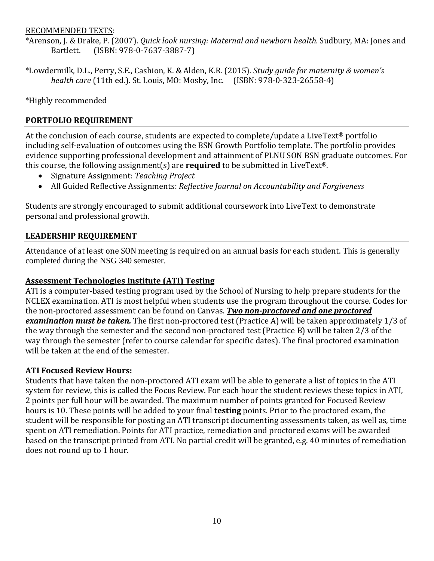### RECOMMENDED TEXTS:

\*Arenson, J. & Drake, P. (2007). *Quick look nursing: Maternal and newborn health.* Sudbury, MA: Jones and  $(BBN: 978-0-7637-3887-7)$ 

\*Lowdermilk, D.L., Perry, S.E., Cashion, K. & Alden, K.R. (2015). *Study guide for maternity & women's health care* (11th ed.). St. Louis, MO: Mosby, Inc. (ISBN: 978-0-323-26558-4)

\*Highly recommended

# **PORTFOLIO REQUIREMENT**

At the conclusion of each course, students are expected to complete/update a LiveText® portfolio including self-evaluation of outcomes using the BSN Growth Portfolio template. The portfolio provides evidence supporting professional development and attainment of PLNU SON BSN graduate outcomes. For this course, the following assignment(s) are **required** to be submitted in LiveText®.

- Signature Assignment: *Teaching Project*
- All Guided Reflective Assignments: *Reflective Journal on Accountability and Forgiveness*

Students are strongly encouraged to submit additional coursework into LiveText to demonstrate personal and professional growth.

# **LEADERSHIP REQUIREMENT**

Attendance of at least one SON meeting is required on an annual basis for each student. This is generally completed during the NSG 340 semester.

### **Assessment Technologies Institute (ATI) Testing**

ATI is a computer-based testing program used by the School of Nursing to help prepare students for the NCLEX examination. ATI is most helpful when students use the program throughout the course. Codes for the non-proctored assessment can be found on Canvas. *Two non-proctored and one proctored examination must be taken.* The first non-proctored test (Practice A) will be taken approximately 1/3 of the way through the semester and the second non-proctored test (Practice B) will be taken 2/3 of the way through the semester (refer to course calendar for specific dates). The final proctored examination will be taken at the end of the semester.

### **ATI Focused Review Hours:**

Students that have taken the non-proctored ATI exam will be able to generate a list of topics in the ATI system for review, this is called the Focus Review. For each hour the student reviews these topics in ATI, 2 points per full hour will be awarded. The maximum number of points granted for Focused Review hours is 10. These points will be added to your final **testing** points. Prior to the proctored exam, the student will be responsible for posting an ATI transcript documenting assessments taken, as well as, time spent on ATI remediation. Points for ATI practice, remediation and proctored exams will be awarded based on the transcript printed from ATI. No partial credit will be granted, e.g. 40 minutes of remediation does not round up to 1 hour.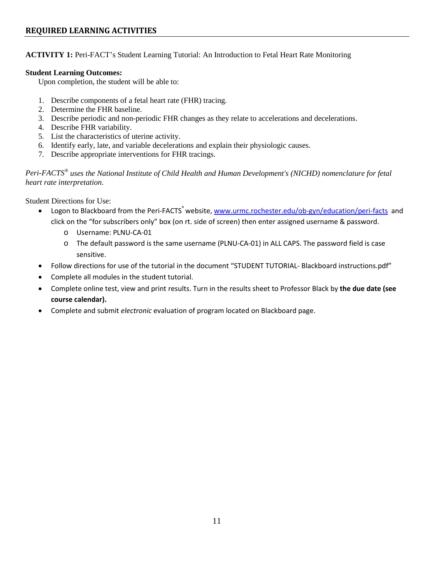### **REQUIRED LEARNING ACTIVITIES**

#### **ACTIVITY 1:** Peri-FACT's Student Learning Tutorial: An Introduction to Fetal Heart Rate Monitoring

#### **Student Learning Outcomes:**

Upon completion, the student will be able to:

- 1. Describe components of a fetal heart rate (FHR) tracing.
- 2. Determine the FHR baseline.
- 3. Describe periodic and non-periodic FHR changes as they relate to accelerations and decelerations.
- 4. Describe FHR variability.
- 5. List the characteristics of uterine activity.
- 6. Identify early, late, and variable decelerations and explain their physiologic causes.
- 7. Describe appropriate interventions for FHR tracings.

*Peri-FACTS® uses the National Institute of Child Health and Human Development's (NICHD) nomenclature for fetal heart rate interpretation.*

Student Directions for Use:

- Logon to Blackboard from the Peri-FACTS<sup>®</sup> website, [www.urmc.rochester.edu/ob-gyn/education/peri-facts](http://www.urmc.rochester.edu/ob-gyn/education/peri-facts) and click on the "for subscribers only" box (on rt. side of screen) then enter assigned username & password.
	- o Username: PLNU-CA-01
	- o The default password is the same username (PLNU-CA-01) in ALL CAPS. The password field is case sensitive.
- Follow directions for use of the tutorial in the document "STUDENT TUTORIAL- Blackboard instructions.pdf"
- Complete all modules in the student tutorial.
- Complete online test, view and print results. Turn in the results sheet to Professor Black by **the due date (see course calendar).**
- Complete and submit *electronic* evaluation of program located on Blackboard page.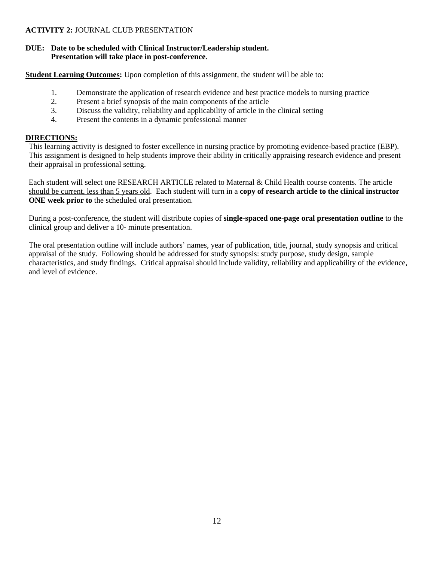#### **ACTIVITY 2:** JOURNAL CLUB PRESENTATION

#### **DUE: Date to be scheduled with Clinical Instructor/Leadership student. Presentation will take place in post-conference**.

**Student Learning Outcomes:** Upon completion of this assignment, the student will be able to:

- 1. Demonstrate the application of research evidence and best practice models to nursing practice
- 2. Present a brief synopsis of the main components of the article
- 3. Discuss the validity, reliability and applicability of article in the clinical setting
- 4. Present the contents in a dynamic professional manner

#### **DIRECTIONS:**

This learning activity is designed to foster excellence in nursing practice by promoting evidence-based practice (EBP). This assignment is designed to help students improve their ability in critically appraising research evidence and present their appraisal in professional setting.

Each student will select one RESEARCH ARTICLE related to Maternal & Child Health course contents. The article should be current, less than 5 years old. Each student will turn in a **copy of research article to the clinical instructor ONE week prior to** the scheduled oral presentation.

During a post-conference, the student will distribute copies of **single-spaced one-page oral presentation outline** to the clinical group and deliver a 10- minute presentation.

The oral presentation outline will include authors' names, year of publication, title, journal, study synopsis and critical appraisal of the study. Following should be addressed for study synopsis: study purpose, study design, sample characteristics, and study findings. Critical appraisal should include validity, reliability and applicability of the evidence, and level of evidence.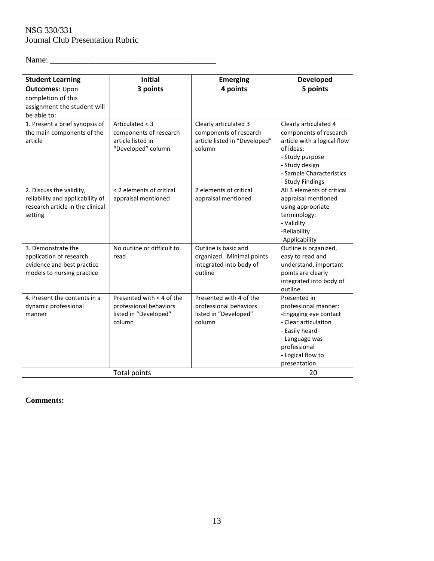# NSG 330/331 Journal Club Presentation Rubric

Name: \_\_\_\_\_\_\_\_\_\_\_\_\_\_\_\_\_\_\_\_\_\_\_\_\_\_\_\_\_\_\_\_\_\_\_\_\_\_\_

| <b>Student Learning</b><br><b>Outcomes: Upon</b><br>completion of this<br>assignment the student will       | <b>Initial</b><br>3 points                                                             | <b>Emerging</b><br>4 points                                                                | <b>Developed</b><br>5 points                                                                                                                                                     |
|-------------------------------------------------------------------------------------------------------------|----------------------------------------------------------------------------------------|--------------------------------------------------------------------------------------------|----------------------------------------------------------------------------------------------------------------------------------------------------------------------------------|
| be able to:<br>1. Present a brief synopsis of<br>the main components of the<br>article                      | Articulated < 3<br>components of research<br>article listed in<br>"Developed" column   | Clearly articulated 3<br>components of research<br>article listed in "Developed"<br>column | Clearly articulated 4<br>components of research<br>article with a logical flow<br>of ideas:<br>- Study purpose<br>- Study design<br>- Sample Characteristics<br>- Study Findings |
| 2. Discuss the validity,<br>reliability and applicability of<br>research article in the clinical<br>setting | < 2 elements of critical<br>appraisal mentioned                                        | 2 elements of critical<br>appraisal mentioned                                              | All 3 elements of critical<br>appraisal mentioned<br>using appropriate<br>terminology:<br>- Validity<br>-Reliability<br>-Applicability                                           |
| 3. Demonstrate the<br>application of research<br>evidence and best practice<br>models to nursing practice   | No outline or difficult to<br>read                                                     | Outline is basic and<br>organized. Minimal points<br>integrated into body of<br>outline    | Outline is organized,<br>easy to read and<br>understand, important<br>points are clearly<br>integrated into body of<br>outline                                                   |
| 4. Present the contents in a<br>dynamic professional<br>manner                                              | Presented with < 4 of the<br>professional behaviors<br>listed in "Developed"<br>column | Presented with 4 of the<br>professional behaviors<br>listed in "Developed"<br>column       | Presented in<br>professional manner:<br>-Engaging eye contact<br>- Clear articulation<br>- Easily heard<br>- Language was<br>professional<br>- Logical flow to<br>presentation   |
|                                                                                                             | Total points                                                                           |                                                                                            | 20                                                                                                                                                                               |

### **Comments:**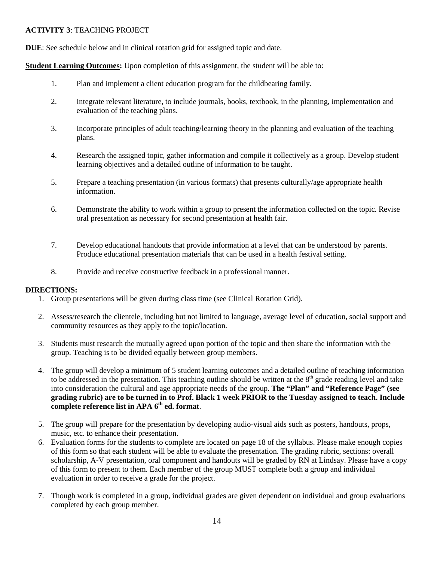#### **ACTIVITY 3**: TEACHING PROJECT

**DUE**: See schedule below and in clinical rotation grid for assigned topic and date.

**Student Learning Outcomes:** Upon completion of this assignment, the student will be able to:

- 1. Plan and implement a client education program for the childbearing family.
- 2. Integrate relevant literature, to include journals, books, textbook, in the planning, implementation and evaluation of the teaching plans.
- 3. Incorporate principles of adult teaching/learning theory in the planning and evaluation of the teaching plans.
- 4. Research the assigned topic, gather information and compile it collectively as a group. Develop student learning objectives and a detailed outline of information to be taught.
- 5. Prepare a teaching presentation (in various formats) that presents culturally/age appropriate health information.
- 6. Demonstrate the ability to work within a group to present the information collected on the topic. Revise oral presentation as necessary for second presentation at health fair.
- 7. Develop educational handouts that provide information at a level that can be understood by parents. Produce educational presentation materials that can be used in a health festival setting.
- 8. Provide and receive constructive feedback in a professional manner.

### **DIRECTIONS:**

- 1. Group presentations will be given during class time (see Clinical Rotation Grid).
- 2. Assess/research the clientele, including but not limited to language, average level of education, social support and community resources as they apply to the topic/location.
- 3. Students must research the mutually agreed upon portion of the topic and then share the information with the group. Teaching is to be divided equally between group members.
- 4. The group will develop a minimum of 5 student learning outcomes and a detailed outline of teaching information to be addressed in the presentation. This teaching outline should be written at the  $8<sup>th</sup>$  grade reading level and take into consideration the cultural and age appropriate needs of the group. **The "Plan" and "Reference Page" (see grading rubric) are to be turned in to Prof. Black 1 week PRIOR to the Tuesday assigned to teach. Include complete reference list in APA 6th ed. format**.
- 5. The group will prepare for the presentation by developing audio-visual aids such as posters, handouts, props, music, etc. to enhance their presentation.
- 6. Evaluation forms for the students to complete are located on page 18 of the syllabus. Please make enough copies of this form so that each student will be able to evaluate the presentation. The grading rubric, sections: overall scholarship, A-V presentation, oral component and handouts will be graded by RN at Lindsay. Please have a copy of this form to present to them. Each member of the group MUST complete both a group and individual evaluation in order to receive a grade for the project.
- 7. Though work is completed in a group, individual grades are given dependent on individual and group evaluations completed by each group member.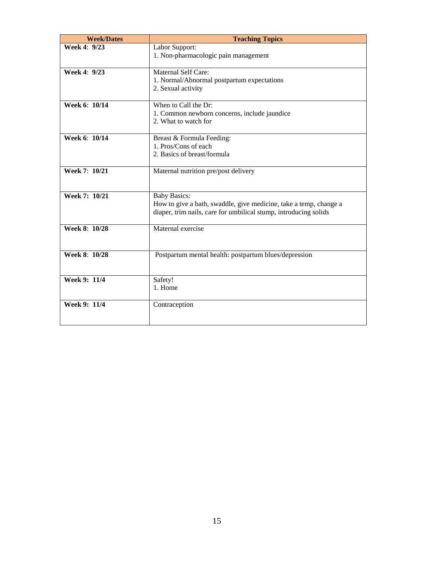| <b>Week/Dates</b>    | <b>Teaching Topics</b>                                            |
|----------------------|-------------------------------------------------------------------|
| Week 4: 9/23         | Labor Support:                                                    |
|                      | 1. Non-pharmacologic pain management                              |
| <b>Week 4: 9/23</b>  | <b>Maternal Self Care:</b>                                        |
|                      | 1. Normal/Abnormal postpartum expectations                        |
|                      | 2. Sexual activity                                                |
|                      |                                                                   |
| Week 6: 10/14        | When to Call the Dr:                                              |
|                      | 1. Common newborn concerns, include jaundice                      |
|                      | 2. What to watch for                                              |
|                      |                                                                   |
| <b>Week 6: 10/14</b> | Breast & Formula Feeding:                                         |
|                      | 1. Pros/Cons of each                                              |
|                      | 2. Basics of breast/formula                                       |
| Week 7: 10/21        | Maternal nutrition pre/post delivery                              |
|                      |                                                                   |
|                      |                                                                   |
| Week 7: 10/21        | <b>Baby Basics:</b>                                               |
|                      | How to give a bath, swaddle, give medicine, take a temp, change a |
|                      | diaper, trim nails, care for umbilical stump, introducing solids  |
|                      |                                                                   |
| Week 8: 10/28        | Maternal exercise                                                 |
|                      |                                                                   |
| Week 8: 10/28        | Postpartum mental health: postpartum blues/depression             |
|                      |                                                                   |
|                      |                                                                   |
| Week 9: 11/4         | Safety!                                                           |
|                      | 1. Home                                                           |
|                      |                                                                   |
| Week 9: 11/4         | Contraception                                                     |
|                      |                                                                   |
|                      |                                                                   |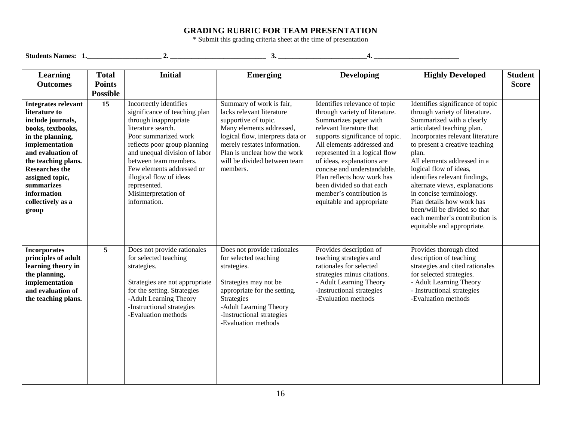### **GRADING RUBRIC FOR TEAM PRESENTATION**

\* Submit this grading criteria sheet at the time of presentation

| Students Names: 1.                                                                                                                                                                                                                                                             |                                                  | 2.                                                                                                                                                                                                                                                                                                                                       | 3.                                                                                                                                                                                                                                                        | 4.                                                                                                                                                                                                                                                                                                                                                                                                      |                                                                                                                                                                                                                                                                                                                                                                                                                                                                                                |                                |
|--------------------------------------------------------------------------------------------------------------------------------------------------------------------------------------------------------------------------------------------------------------------------------|--------------------------------------------------|------------------------------------------------------------------------------------------------------------------------------------------------------------------------------------------------------------------------------------------------------------------------------------------------------------------------------------------|-----------------------------------------------------------------------------------------------------------------------------------------------------------------------------------------------------------------------------------------------------------|---------------------------------------------------------------------------------------------------------------------------------------------------------------------------------------------------------------------------------------------------------------------------------------------------------------------------------------------------------------------------------------------------------|------------------------------------------------------------------------------------------------------------------------------------------------------------------------------------------------------------------------------------------------------------------------------------------------------------------------------------------------------------------------------------------------------------------------------------------------------------------------------------------------|--------------------------------|
| Learning<br><b>Outcomes</b>                                                                                                                                                                                                                                                    | <b>Total</b><br><b>Points</b><br><b>Possible</b> | <b>Initial</b>                                                                                                                                                                                                                                                                                                                           | <b>Emerging</b>                                                                                                                                                                                                                                           | <b>Developing</b>                                                                                                                                                                                                                                                                                                                                                                                       | <b>Highly Developed</b>                                                                                                                                                                                                                                                                                                                                                                                                                                                                        | <b>Student</b><br><b>Score</b> |
| <b>Integrates relevant</b><br>literature to<br>include journals,<br>books, textbooks,<br>in the planning,<br>implementation<br>and evaluation of<br>the teaching plans.<br><b>Researches the</b><br>assigned topic,<br>summarizes<br>information<br>collectively as a<br>group | $\overline{15}$                                  | Incorrectly identifies<br>significance of teaching plan<br>through inappropriate<br>literature search.<br>Poor summarized work<br>reflects poor group planning<br>and unequal division of labor<br>between team members.<br>Few elements addressed or<br>illogical flow of ideas<br>represented.<br>Misinterpretation of<br>information. | Summary of work is fair,<br>lacks relevant literature<br>supportive of topic.<br>Many elements addressed,<br>logical flow, interprets data or<br>merely restates information.<br>Plan is unclear how the work<br>will be divided between team<br>members. | Identifies relevance of topic<br>through variety of literature.<br>Summarizes paper with<br>relevant literature that<br>supports significance of topic.<br>All elements addressed and<br>represented in a logical flow<br>of ideas, explanations are<br>concise and understandable.<br>Plan reflects how work has<br>been divided so that each<br>member's contribution is<br>equitable and appropriate | Identifies significance of topic<br>through variety of literature.<br>Summarized with a clearly<br>articulated teaching plan.<br>Incorporates relevant literature<br>to present a creative teaching<br>plan.<br>All elements addressed in a<br>logical flow of ideas,<br>identifies relevant findings,<br>alternate views, explanations<br>in concise terminology.<br>Plan details how work has<br>been/will be divided so that<br>each member's contribution is<br>equitable and appropriate. |                                |
| <b>Incorporates</b><br>principles of adult<br>learning theory in<br>the planning,<br>implementation<br>and evaluation of<br>the teaching plans.                                                                                                                                | 5                                                | Does not provide rationales<br>for selected teaching<br>strategies.<br>Strategies are not appropriate<br>for the setting. Strategies<br>-Adult Learning Theory<br>-Instructional strategies<br>-Evaluation methods                                                                                                                       | Does not provide rationales<br>for selected teaching<br>strategies.<br>Strategies may not be<br>appropriate for the setting.<br>Strategies<br>-Adult Learning Theory<br>-Instructional strategies<br>-Evaluation methods                                  | Provides description of<br>teaching strategies and<br>rationales for selected<br>strategies minus citations.<br>- Adult Learning Theory<br>-Instructional strategies<br>-Evaluation methods                                                                                                                                                                                                             | Provides thorough cited<br>description of teaching<br>strategies and cited rationales<br>for selected strategies.<br>- Adult Learning Theory<br>- Instructional strategies<br>-Evaluation methods                                                                                                                                                                                                                                                                                              |                                |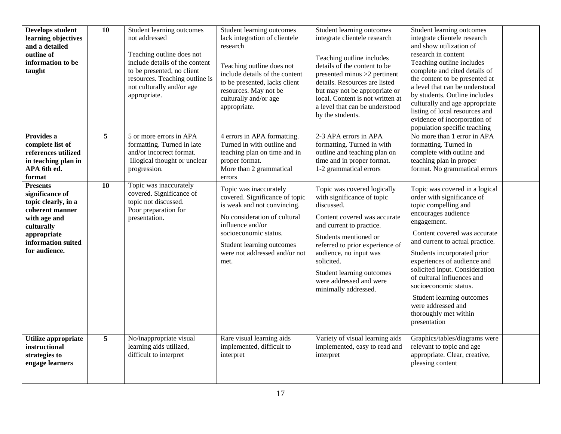| <b>Develops student</b><br>learning objectives<br>and a detailed<br>outline of<br>information to be<br>taught                                                    | 10              | Student learning outcomes<br>not addressed<br>Teaching outline does not<br>include details of the content<br>to be presented, no client<br>resources. Teaching outline is<br>not culturally and/or age<br>appropriate. | Student learning outcomes<br>lack integration of clientele<br>research<br>Teaching outline does not<br>include details of the content<br>to be presented, lacks client<br>resources. May not be<br>culturally and/or age<br>appropriate.   | Student learning outcomes<br>integrate clientele research<br>Teaching outline includes<br>details of the content to be<br>presented minus >2 pertinent<br>details. Resources are listed<br>but may not be appropriate or<br>local. Content is not written at<br>a level that can be understood<br>by the students.      | Student learning outcomes<br>integrate clientele research<br>and show utilization of<br>research in content<br>Teaching outline includes<br>complete and cited details of<br>the content to be presented at<br>a level that can be understood<br>by students. Outline includes<br>culturally and age appropriate<br>listing of local resources and<br>evidence of incorporation of<br>population specific teaching                               |
|------------------------------------------------------------------------------------------------------------------------------------------------------------------|-----------------|------------------------------------------------------------------------------------------------------------------------------------------------------------------------------------------------------------------------|--------------------------------------------------------------------------------------------------------------------------------------------------------------------------------------------------------------------------------------------|-------------------------------------------------------------------------------------------------------------------------------------------------------------------------------------------------------------------------------------------------------------------------------------------------------------------------|--------------------------------------------------------------------------------------------------------------------------------------------------------------------------------------------------------------------------------------------------------------------------------------------------------------------------------------------------------------------------------------------------------------------------------------------------|
| Provides a<br>complete list of<br>references utilized<br>in teaching plan in<br>APA 6th ed.<br>format                                                            | $5\phantom{.0}$ | 5 or more errors in APA<br>formatting. Turned in late<br>and/or incorrect format.<br>Illogical thought or unclear<br>progression.                                                                                      | 4 errors in APA formatting.<br>Turned in with outline and<br>teaching plan on time and in<br>proper format.<br>More than 2 grammatical<br>errors                                                                                           | 2-3 APA errors in APA<br>formatting. Turned in with<br>outline and teaching plan on<br>time and in proper format.<br>1-2 grammatical errors                                                                                                                                                                             | No more than 1 error in APA<br>formatting. Turned in<br>complete with outline and<br>teaching plan in proper<br>format. No grammatical errors                                                                                                                                                                                                                                                                                                    |
| <b>Presents</b><br>significance of<br>topic clearly, in a<br>coherent manner<br>with age and<br>culturally<br>appropriate<br>information suited<br>for audience. | 10              | Topic was inaccurately<br>covered. Significance of<br>topic not discussed.<br>Poor preparation for<br>presentation.                                                                                                    | Topic was inaccurately<br>covered. Significance of topic<br>is weak and not convincing.<br>No consideration of cultural<br>influence and/or<br>socioeconomic status.<br>Student learning outcomes<br>were not addressed and/or not<br>met. | Topic was covered logically<br>with significance of topic<br>discussed.<br>Content covered was accurate<br>and current to practice.<br>Students mentioned or<br>referred to prior experience of<br>audience, no input was<br>solicited.<br>Student learning outcomes<br>were addressed and were<br>minimally addressed. | Topic was covered in a logical<br>order with significance of<br>topic compelling and<br>encourages audience<br>engagement.<br>Content covered was accurate<br>and current to actual practice.<br>Students incorporated prior<br>experiences of audience and<br>solicited input. Consideration<br>of cultural influences and<br>socioeconomic status.<br>Student learning outcomes<br>were addressed and<br>thoroughly met within<br>presentation |
| Utilize appropriate<br>instructional<br>strategies to<br>engage learners                                                                                         | $5\phantom{.0}$ | No/inappropriate visual<br>learning aids utilized,<br>difficult to interpret                                                                                                                                           | Rare visual learning aids<br>implemented, difficult to<br>interpret                                                                                                                                                                        | Variety of visual learning aids<br>implemented, easy to read and<br>interpret                                                                                                                                                                                                                                           | Graphics/tables/diagrams were<br>relevant to topic and age<br>appropriate. Clear, creative,<br>pleasing content                                                                                                                                                                                                                                                                                                                                  |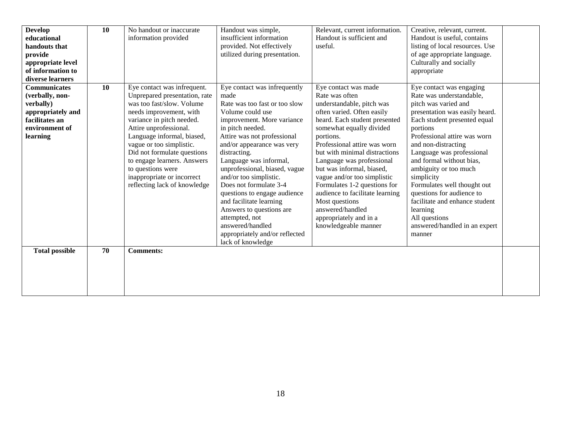| <b>Develop</b><br>educational<br>handouts that<br>provide<br>appropriate level<br>of information to<br>diverse learners  | 10 | No handout or inaccurate<br>information provided                                                                                                                                                                                                                                                                                                                                       | Handout was simple,<br>insufficient information<br>provided. Not effectively<br>utilized during presentation.                                                                                                                                                                                                                                                                                                                                                                                                               | Relevant, current information.<br>Handout is sufficient and<br>useful.                                                                                                                                                                                                                                                                                                                                                                                                                           | Creative, relevant, current.<br>Handout is useful, contains<br>listing of local resources. Use<br>of age appropriate language.<br>Culturally and socially<br>appropriate                                                                                                                                                                                                                                                                                                                |  |
|--------------------------------------------------------------------------------------------------------------------------|----|----------------------------------------------------------------------------------------------------------------------------------------------------------------------------------------------------------------------------------------------------------------------------------------------------------------------------------------------------------------------------------------|-----------------------------------------------------------------------------------------------------------------------------------------------------------------------------------------------------------------------------------------------------------------------------------------------------------------------------------------------------------------------------------------------------------------------------------------------------------------------------------------------------------------------------|--------------------------------------------------------------------------------------------------------------------------------------------------------------------------------------------------------------------------------------------------------------------------------------------------------------------------------------------------------------------------------------------------------------------------------------------------------------------------------------------------|-----------------------------------------------------------------------------------------------------------------------------------------------------------------------------------------------------------------------------------------------------------------------------------------------------------------------------------------------------------------------------------------------------------------------------------------------------------------------------------------|--|
| <b>Communicates</b><br>(verbally, non-<br>verbally)<br>appropriately and<br>facilitates an<br>environment of<br>learning | 10 | Eye contact was infrequent.<br>Unprepared presentation, rate<br>was too fast/slow. Volume<br>needs improvement, with<br>variance in pitch needed.<br>Attire unprofessional.<br>Language informal, biased,<br>vague or too simplistic.<br>Did not formulate questions<br>to engage learners. Answers<br>to questions were<br>inappropriate or incorrect<br>reflecting lack of knowledge | Eye contact was infrequently<br>made<br>Rate was too fast or too slow<br>Volume could use<br>improvement. More variance<br>in pitch needed.<br>Attire was not professional<br>and/or appearance was very<br>distracting.<br>Language was informal,<br>unprofessional, biased, vague<br>and/or too simplistic.<br>Does not formulate 3-4<br>questions to engage audience<br>and facilitate learning<br>Answers to questions are<br>attempted, not<br>answered/handled<br>appropriately and/or reflected<br>lack of knowledge | Eye contact was made<br>Rate was often<br>understandable, pitch was<br>often varied. Often easily<br>heard. Each student presented<br>somewhat equally divided<br>portions.<br>Professional attire was worn<br>but with minimal distractions<br>Language was professional<br>but was informal, biased,<br>vague and/or too simplistic<br>Formulates 1-2 questions for<br>audience to facilitate learning<br>Most questions<br>answered/handled<br>appropriately and in a<br>knowledgeable manner | Eye contact was engaging<br>Rate was understandable,<br>pitch was varied and<br>presentation was easily heard.<br>Each student presented equal<br>portions<br>Professional attire was worn<br>and non-distracting<br>Language was professional<br>and formal without bias,<br>ambiguity or too much<br>simplicity<br>Formulates well thought out<br>questions for audience to<br>facilitate and enhance student<br>learning<br>All questions<br>answered/handled in an expert<br>manner |  |
| <b>Total possible</b>                                                                                                    | 70 | <b>Comments:</b>                                                                                                                                                                                                                                                                                                                                                                       |                                                                                                                                                                                                                                                                                                                                                                                                                                                                                                                             |                                                                                                                                                                                                                                                                                                                                                                                                                                                                                                  |                                                                                                                                                                                                                                                                                                                                                                                                                                                                                         |  |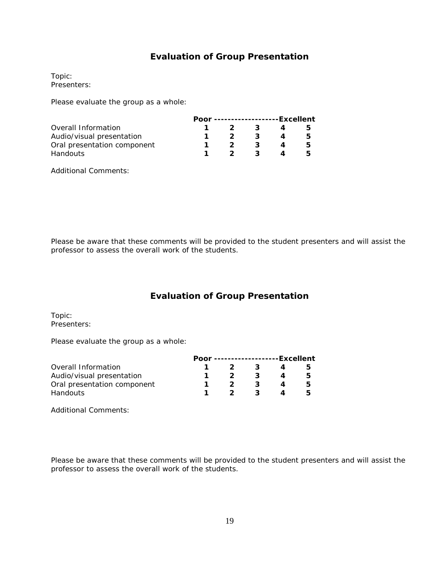## **Evaluation of Group Presentation**

Topic: Presenters:

Please evaluate the group as a whole:

|                             | Poor --------------------Excellent |   |  |   |
|-----------------------------|------------------------------------|---|--|---|
| Overall Information         |                                    | 2 |  |   |
| Audio/visual presentation   |                                    |   |  | ь |
| Oral presentation component |                                    |   |  | ь |
| Handouts                    |                                    | 2 |  |   |

Additional Comments:

Please be aware that these comments will be provided to the student presenters and will assist the professor to assess the overall work of the students.

# **Evaluation of Group Presentation**

Topic: Presenters:

Please evaluate the group as a whole:

|                             | Poor --------------------Excellent |              |   |   |
|-----------------------------|------------------------------------|--------------|---|---|
| Overall Information         |                                    | $\mathbf{z}$ |   | ר |
| Audio/visual presentation   |                                    |              | 3 | h |
| Oral presentation component |                                    |              | 3 | h |
| <b>Handouts</b>             |                                    | 2.           | ર |   |

Additional Comments:

Please be aware that these comments will be provided to the student presenters and will assist the professor to assess the overall work of the students.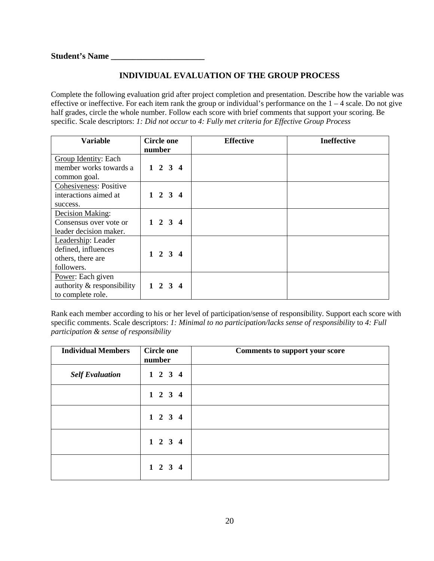# **INDIVIDUAL EVALUATION OF THE GROUP PROCESS**

Complete the following evaluation grid after project completion and presentation. Describe how the variable was effective or ineffective. For each item rank the group or individual's performance on the  $1 - 4$  scale. Do not give half grades, circle the whole number. Follow each score with brief comments that support your scoring. Be specific. Scale descriptors: *1: Did not occur* to *4: Fully met criteria for Effective Group Process*

| Variable                                                                     | <b>Circle one</b><br>number |                 |  | <b>Effective</b> | <b>Ineffective</b> |
|------------------------------------------------------------------------------|-----------------------------|-----------------|--|------------------|--------------------|
| Group Identity: Each<br>member works towards a<br>common goal.               |                             | $1 \t2 \t3 \t4$ |  |                  |                    |
| Cohesiveness: Positive<br>interactions aimed at<br>success.                  |                             | $1 \t2 \t3 \t4$ |  |                  |                    |
| Decision Making:<br>Consensus over vote or<br>leader decision maker.         |                             | $1 \t2 \t3 \t4$ |  |                  |                    |
| Leadership: Leader<br>defined, influences<br>others, there are<br>followers. |                             | $1 \t2 \t3 \t4$ |  |                  |                    |
| Power: Each given<br>authority & responsibility<br>to complete role.         |                             | $1 \t2 \t3 \t4$ |  |                  |                    |

Rank each member according to his or her level of participation/sense of responsibility. Support each score with specific comments. Scale descriptors: *1: Minimal to no participation/lacks sense of responsibility* to *4: Full participation & sense of responsibility*

| <b>Individual Members</b> | <b>Circle one</b><br>number | <b>Comments to support your score</b> |
|---------------------------|-----------------------------|---------------------------------------|
| <b>Self Evaluation</b>    | $1 \t2 \t3 \t4$             |                                       |
|                           | $1 \t2 \t3 \t4$             |                                       |
|                           | $1 \t2 \t3 \t4$             |                                       |
|                           | $1 \t2 \t3 \t4$             |                                       |
|                           | $1 \t2 \t3 \t4$             |                                       |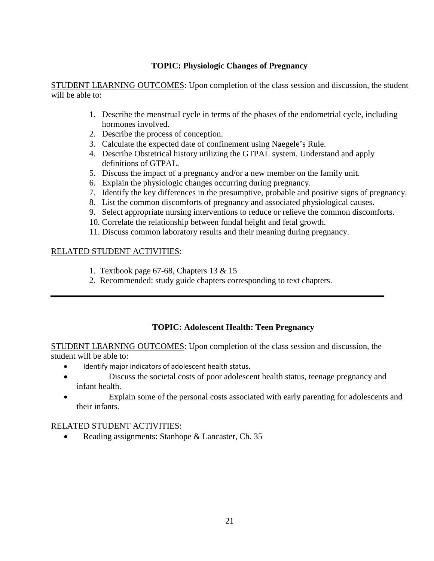## **TOPIC: Physiologic Changes of Pregnancy**

STUDENT LEARNING OUTCOMES: Upon completion of the class session and discussion, the student will be able to:

- 1. Describe the menstrual cycle in terms of the phases of the endometrial cycle, including hormones involved.
- 2. Describe the process of conception.
- 3. Calculate the expected date of confinement using Naegele's Rule.
- 4. Describe Obstetrical history utilizing the GTPAL system. Understand and apply definitions of GTPAL.
- 5. Discuss the impact of a pregnancy and/or a new member on the family unit.
- 6. Explain the physiologic changes occurring during pregnancy.
- 7. Identify the key differences in the presumptive, probable and positive signs of pregnancy.
- 8. List the common discomforts of pregnancy and associated physiological causes.
- 9. Select appropriate nursing interventions to reduce or relieve the common discomforts.
- 10. Correlate the relationship between fundal height and fetal growth.
- 11. Discuss common laboratory results and their meaning during pregnancy.

# RELATED STUDENT ACTIVITIES:

- 1. Textbook page 67-68, Chapters 13 & 15
- 2. Recommended: study guide chapters corresponding to text chapters.

# **TOPIC: Adolescent Health: Teen Pregnancy**

STUDENT LEARNING OUTCOMES: Upon completion of the class session and discussion, the student will be able to:

- Identify major indicators of adolescent health status.
- Discuss the societal costs of poor adolescent health status, teenage pregnancy and infant health.
- Explain some of the personal costs associated with early parenting for adolescents and their infants.

# RELATED STUDENT ACTIVITIES:

• Reading assignments: Stanhope & Lancaster, Ch. 35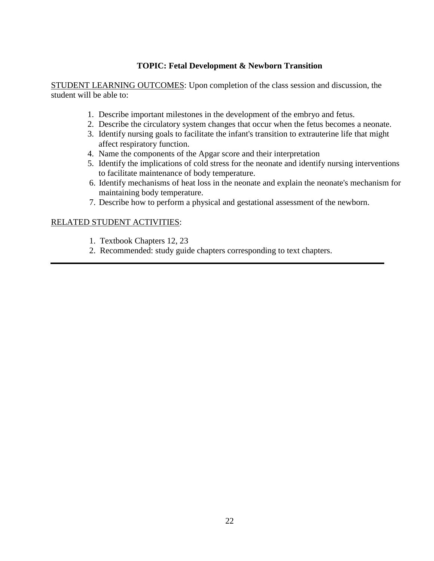### **TOPIC: Fetal Development & Newborn Transition**

STUDENT LEARNING OUTCOMES: Upon completion of the class session and discussion, the student will be able to:

- 1. Describe important milestones in the development of the embryo and fetus.
- 2. Describe the circulatory system changes that occur when the fetus becomes a neonate.
- 3. Identify nursing goals to facilitate the infant's transition to extrauterine life that might affect respiratory function.
- 4. Name the components of the Apgar score and their interpretation
- 5. Identify the implications of cold stress for the neonate and identify nursing interventions to facilitate maintenance of body temperature.
- 6. Identify mechanisms of heat loss in the neonate and explain the neonate's mechanism for maintaining body temperature.
- 7. Describe how to perform a physical and gestational assessment of the newborn.

- 1. Textbook Chapters 12, 23
- 2. Recommended: study guide chapters corresponding to text chapters.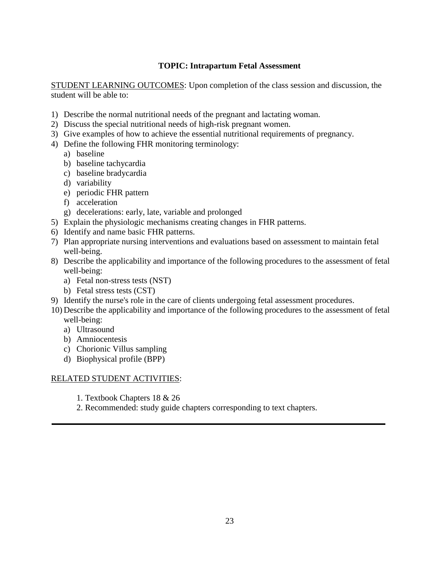## **TOPIC: Intrapartum Fetal Assessment**

STUDENT LEARNING OUTCOMES: Upon completion of the class session and discussion, the student will be able to:

- 1) Describe the normal nutritional needs of the pregnant and lactating woman.
- 2) Discuss the special nutritional needs of high-risk pregnant women.
- 3) Give examples of how to achieve the essential nutritional requirements of pregnancy.
- 4) Define the following FHR monitoring terminology:
	- a) baseline
	- b) baseline tachycardia
	- c) baseline bradycardia
	- d) variability
	- e) periodic FHR pattern
	- f) acceleration
	- g) decelerations: early, late, variable and prolonged
- 5) Explain the physiologic mechanisms creating changes in FHR patterns.
- 6) Identify and name basic FHR patterns.
- 7) Plan appropriate nursing interventions and evaluations based on assessment to maintain fetal well-being.
- 8) Describe the applicability and importance of the following procedures to the assessment of fetal well-being:
	- a) Fetal non-stress tests (NST)
	- b) Fetal stress tests (CST)
- 9) Identify the nurse's role in the care of clients undergoing fetal assessment procedures.
- 10) Describe the applicability and importance of the following procedures to the assessment of fetal well-being:
	- a) Ultrasound
	- b) Amniocentesis
	- c) Chorionic Villus sampling
	- d) Biophysical profile (BPP)

- 1. Textbook Chapters 18 & 26
- 2. Recommended: study guide chapters corresponding to text chapters.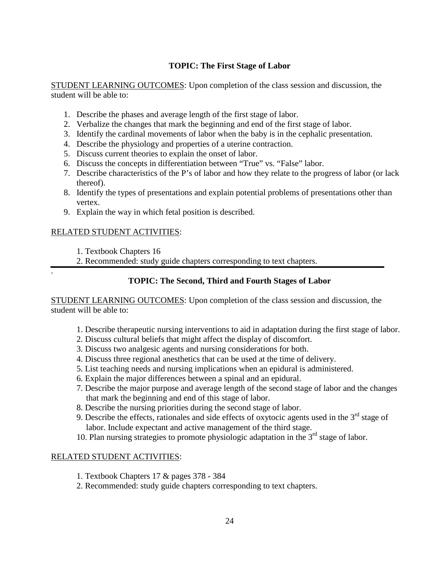## **TOPIC: The First Stage of Labor**

STUDENT LEARNING OUTCOMES: Upon completion of the class session and discussion, the student will be able to:

- 1. Describe the phases and average length of the first stage of labor.
- 2. Verbalize the changes that mark the beginning and end of the first stage of labor.
- 3. Identify the cardinal movements of labor when the baby is in the cephalic presentation.
- 4. Describe the physiology and properties of a uterine contraction.
- 5. Discuss current theories to explain the onset of labor.
- 6. Discuss the concepts in differentiation between "True" vs. "False" labor.
- 7. Describe characteristics of the P's of labor and how they relate to the progress of labor (or lack thereof).
- 8. Identify the types of presentations and explain potential problems of presentations other than vertex.
- 9. Explain the way in which fetal position is described.

### RELATED STUDENT ACTIVITIES:

1. Textbook Chapters 16

.

2. Recommended: study guide chapters corresponding to text chapters.

**TOPIC: The Second, Third and Fourth Stages of Labor**

STUDENT LEARNING OUTCOMES: Upon completion of the class session and discussion, the student will be able to:

- 1. Describe therapeutic nursing interventions to aid in adaptation during the first stage of labor.
- 2. Discuss cultural beliefs that might affect the display of discomfort.
- 3. Discuss two analgesic agents and nursing considerations for both.
- 4. Discuss three regional anesthetics that can be used at the time of delivery.
- 5. List teaching needs and nursing implications when an epidural is administered.
- 6. Explain the major differences between a spinal and an epidural.
- 7. Describe the major purpose and average length of the second stage of labor and the changes that mark the beginning and end of this stage of labor.
- 8. Describe the nursing priorities during the second stage of labor.
- 9. Describe the effects, rationales and side effects of oxytocic agents used in the  $3<sup>rd</sup>$  stage of labor. Include expectant and active management of the third stage.
- 10. Plan nursing strategies to promote physiologic adaptation in the 3<sup>rd</sup> stage of labor.

- 1. Textbook Chapters 17 & pages 378 384
- 2. Recommended: study guide chapters corresponding to text chapters.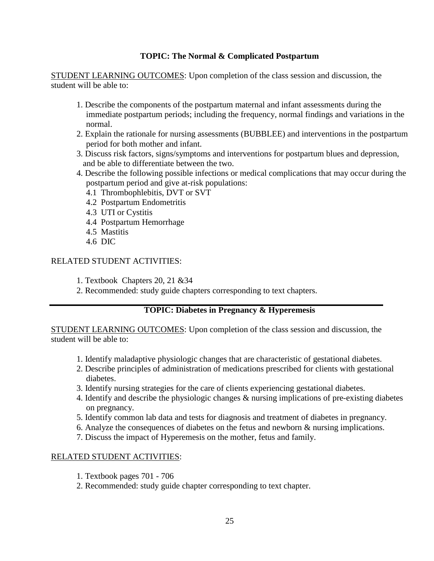### **TOPIC: The Normal & Complicated Postpartum**

STUDENT LEARNING OUTCOMES: Upon completion of the class session and discussion, the student will be able to:

- 1. Describe the components of the postpartum maternal and infant assessments during the immediate postpartum periods; including the frequency, normal findings and variations in the normal.
- 2. Explain the rationale for nursing assessments (BUBBLEE) and interventions in the postpartum period for both mother and infant.
- 3. Discuss risk factors, signs/symptoms and interventions for postpartum blues and depression, and be able to differentiate between the two.
- 4. Describe the following possible infections or medical complications that may occur during the postpartum period and give at-risk populations:
	- 4.1 Thrombophlebitis, DVT or SVT
	- 4.2 Postpartum Endometritis
	- 4.3 UTI or Cystitis
	- 4.4 Postpartum Hemorrhage
	- 4.5 Mastitis
	- 4.6 DIC

### RELATED STUDENT ACTIVITIES:

- 1. Textbook Chapters 20, 21 &34
- 2. Recommended: study guide chapters corresponding to text chapters.

### **TOPIC: Diabetes in Pregnancy & Hyperemesis**

STUDENT LEARNING OUTCOMES: Upon completion of the class session and discussion, the student will be able to:

- 1. Identify maladaptive physiologic changes that are characteristic of gestational diabetes.
- 2. Describe principles of administration of medications prescribed for clients with gestational diabetes.
- 3. Identify nursing strategies for the care of clients experiencing gestational diabetes.
- 4. Identify and describe the physiologic changes & nursing implications of pre-existing diabetes on pregnancy.
- 5. Identify common lab data and tests for diagnosis and treatment of diabetes in pregnancy.
- 6. Analyze the consequences of diabetes on the fetus and newborn & nursing implications.
- 7. Discuss the impact of Hyperemesis on the mother, fetus and family.

- 1. Textbook pages 701 706
- 2. Recommended: study guide chapter corresponding to text chapter.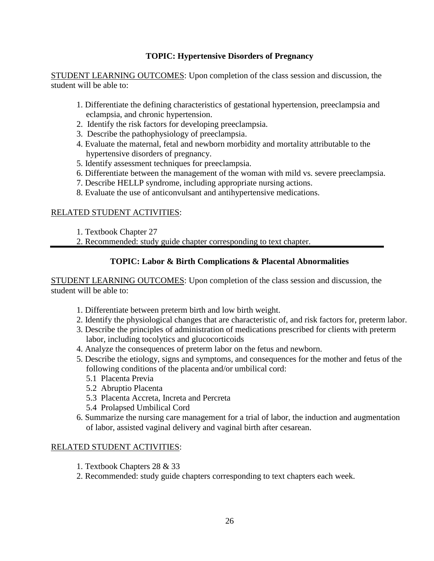### **TOPIC: Hypertensive Disorders of Pregnancy**

STUDENT LEARNING OUTCOMES: Upon completion of the class session and discussion, the student will be able to:

- 1. Differentiate the defining characteristics of gestational hypertension, preeclampsia and eclampsia, and chronic hypertension.
- 2. Identify the risk factors for developing preeclampsia.
- 3. Describe the pathophysiology of preeclampsia.
- 4. Evaluate the maternal, fetal and newborn morbidity and mortality attributable to the hypertensive disorders of pregnancy.
- 5. Identify assessment techniques for preeclampsia.
- 6. Differentiate between the management of the woman with mild vs. severe preeclampsia.
- 7. Describe HELLP syndrome, including appropriate nursing actions.
- 8. Evaluate the use of anticonvulsant and antihypertensive medications.

### RELATED STUDENT ACTIVITIES:

- 1. Textbook Chapter 27
- 2. Recommended: study guide chapter corresponding to text chapter.

### **TOPIC: Labor & Birth Complications & Placental Abnormalities**

STUDENT LEARNING OUTCOMES: Upon completion of the class session and discussion, the student will be able to:

- 1. Differentiate between preterm birth and low birth weight.
- 2. Identify the physiological changes that are characteristic of, and risk factors for, preterm labor.
- 3. Describe the principles of administration of medications prescribed for clients with preterm labor, including tocolytics and glucocorticoids
- 4. Analyze the consequences of preterm labor on the fetus and newborn.
- 5. Describe the etiology, signs and symptoms, and consequences for the mother and fetus of the following conditions of the placenta and/or umbilical cord:
	- 5.1 Placenta Previa
	- 5.2 Abruptio Placenta
	- 5.3 Placenta Accreta, Increta and Percreta
	- 5.4 Prolapsed Umbilical Cord
- 6. Summarize the nursing care management for a trial of labor, the induction and augmentation of labor, assisted vaginal delivery and vaginal birth after cesarean.

- 1. Textbook Chapters 28 & 33
- 2. Recommended: study guide chapters corresponding to text chapters each week.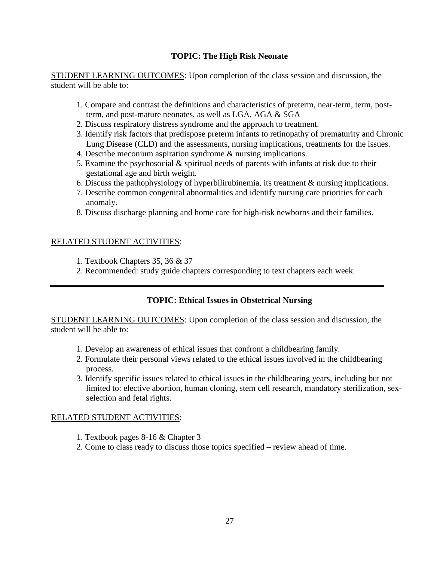### **TOPIC: The High Risk Neonate**

STUDENT LEARNING OUTCOMES: Upon completion of the class session and discussion, the student will be able to:

- 1. Compare and contrast the definitions and characteristics of preterm, near-term, term, postterm, and post-mature neonates, as well as LGA, AGA & SGA
- 2. Discuss respiratory distress syndrome and the approach to treatment.
- 3. Identify risk factors that predispose preterm infants to retinopathy of prematurity and Chronic Lung Disease (CLD) and the assessments, nursing implications, treatments for the issues.
- 4. Describe meconium aspiration syndrome & nursing implications.
- 5. Examine the psychosocial & spiritual needs of parents with infants at risk due to their gestational age and birth weight.
- 6. Discuss the pathophysiology of hyperbilirubinemia, its treatment & nursing implications.
- 7. Describe common congenital abnormalities and identify nursing care priorities for each anomaly.
- 8. Discuss discharge planning and home care for high-risk newborns and their families.

### RELATED STUDENT ACTIVITIES:

- 1. Textbook Chapters 35, 36 & 37
- 2. Recommended: study guide chapters corresponding to text chapters each week.

### **TOPIC: Ethical Issues in Obstetrical Nursing**

STUDENT LEARNING OUTCOMES: Upon completion of the class session and discussion, the student will be able to:

- 1. Develop an awareness of ethical issues that confront a childbearing family.
- 2. Formulate their personal views related to the ethical issues involved in the childbearing process.
- 3. Identify specific issues related to ethical issues in the childbearing years, including but not limited to: elective abortion, human cloning, stem cell research, mandatory sterilization, sexselection and fetal rights.

- 1. Textbook pages 8-16 & Chapter 3
- 2. Come to class ready to discuss those topics specified review ahead of time.